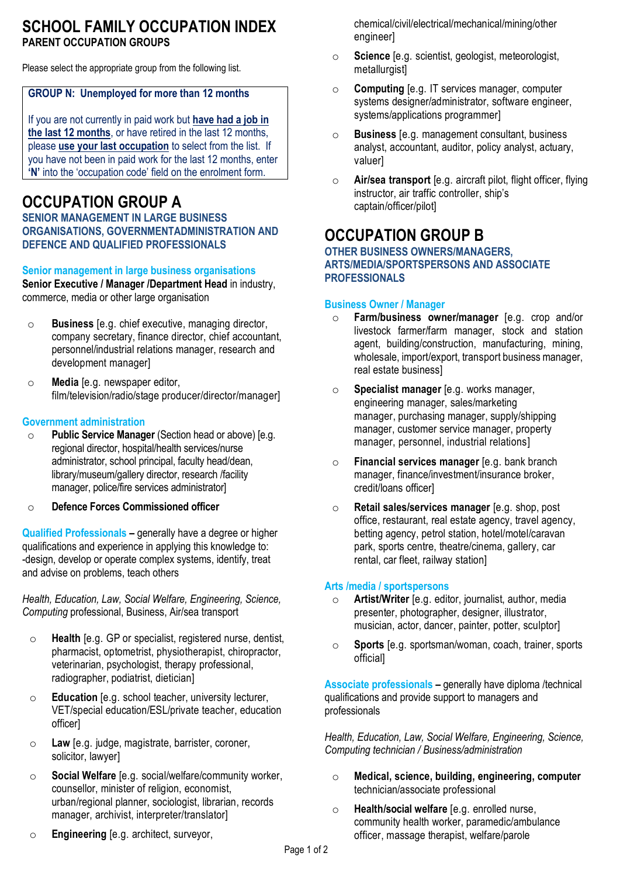### **SCHOOL FAMILY OCCUPATION INDEX PARENT OCCUPATION GROUPS**

Please select the appropriate group from the following list.

### **GROUP N: Unemployed for more than 12 months**

If you are not currently in paid work but **have had a job in the last 12 months**, or have retired in the last 12 months, please **use your last occupation** to select from the list. If you have not been in paid work for the last 12 months, enter **'N'** into the 'occupation code' field on the enrolment form.

# **OCCUPATION GROUP A**

**SENIOR MANAGEMENT IN LARGE BUSINESS ORGANISATIONS, GOVERNMENTADMINISTRATION AND DEFENCE AND QUALIFIED PROFESSIONALS**

### **Senior management in large business organisations**

**Senior Executive / Manager /Department Head** in industry, commerce, media or other large organisation

- o **Business** [e.g. chief executive, managing director, company secretary, finance director, chief accountant, personnel/industrial relations manager, research and development manager]
- o **Media** [e.g. newspaper editor, film/television/radio/stage producer/director/manager]

### **Government administration**

- o **Public Service Manager** (Section head or above) [e.g. regional director, hospital/health services/nurse administrator, school principal, faculty head/dean, library/museum/gallery director, research /facility manager, police/fire services administrator]
- o **Defence Forces Commissioned officer**

**Qualified Professionals –** generally have a degree or higher qualifications and experience in applying this knowledge to: -design, develop or operate complex systems, identify, treat and advise on problems, teach others

*Health, Education, Law, Social Welfare, Engineering, Science, Computing* professional, Business, Air/sea transport

- o **Health** [e.g. GP or specialist, registered nurse, dentist, pharmacist, optometrist, physiotherapist, chiropractor, veterinarian, psychologist, therapy professional, radiographer, podiatrist, dietician]
- o **Education** [e.g. school teacher, university lecturer, VET/special education/ESL/private teacher, education officer]
- o **Law** [e.g. judge, magistrate, barrister, coroner, solicitor, lawyer]
- o **Social Welfare** [e.g. social/welfare/community worker, counsellor, minister of religion, economist, urban/regional planner, sociologist, librarian, records manager, archivist, interpreter/translator]
- o **Engineering** [e.g. architect, surveyor,

chemical/civil/electrical/mechanical/mining/other engineer]

- o **Science** [e.g. scientist, geologist, meteorologist, metallurgist]
- o **Computing** [e.g. IT services manager, computer systems designer/administrator, software engineer, systems/applications programmer]
- o **Business** [e.g. management consultant, business analyst, accountant, auditor, policy analyst, actuary, valuer]
- o **Air/sea transport** [e.g. aircraft pilot, flight officer, flying instructor, air traffic controller, ship's captain/officer/pilot]

### **OCCUPATION GROUP B**

### **OTHER BUSINESS OWNERS/MANAGERS, ARTS/MEDIA/SPORTSPERSONS AND ASSOCIATE PROFESSIONALS**

#### **Business Owner / Manager**

- o **Farm/business owner/manager** [e.g. crop and/or livestock farmer/farm manager, stock and station agent, building/construction, manufacturing, mining, wholesale, import/export, transport business manager, real estate business]
- o **Specialist manager** [e.g. works manager, engineering manager, sales/marketing manager, purchasing manager, supply/shipping manager, customer service manager, property manager, personnel, industrial relations]
- o **Financial services manager** [e.g. bank branch manager, finance/investment/insurance broker, credit/loans officer]
- o **Retail sales/services manager** [e.g. shop, post office, restaurant, real estate agency, travel agency, betting agency, petrol station, hotel/motel/caravan park, sports centre, theatre/cinema, gallery, car rental, car fleet, railway station]

#### **Arts /media / sportspersons**

- o **Artist/Writer** [e.g. editor, journalist, author, media presenter, photographer, designer, illustrator, musician, actor, dancer, painter, potter, sculptor]
- o **Sports** [e.g. sportsman/woman, coach, trainer, sports official]

**Associate professionals –** generally have diploma /technical qualifications and provide support to managers and professionals

*Health, Education, Law, Social Welfare, Engineering, Science, Computing technician / Business/administration*

- o **Medical, science, building, engineering, computer** technician/associate professional
- o **Health/social welfare** [e.g. enrolled nurse, community health worker, paramedic/ambulance officer, massage therapist, welfare/parole